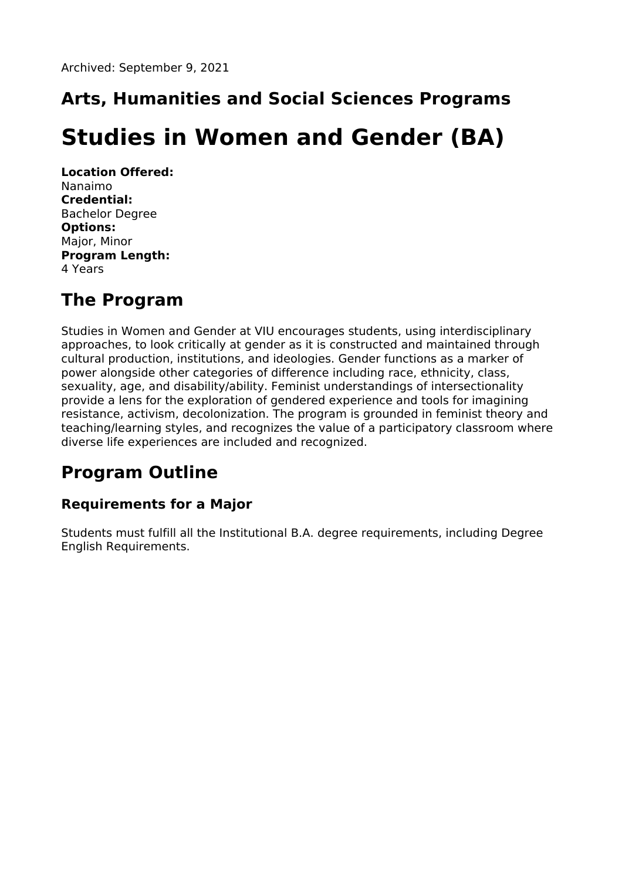# **Arts, Humanities and Social Sciences Programs**

# **Studies in Women and Gender (BA)**

**Location Offered:** Nanaimo **Credential:** Bachelor Degree **Options:** Major, Minor **Program Length:** 4 Years

### **The Program**

Studies in Women and Gender at VIU encourages students, using interdisciplinary approaches, to look critically at gender as it is constructed and maintained through cultural production, institutions, and ideologies. Gender functions as a marker of power alongside other categories of difference including race, ethnicity, class, sexuality, age, and disability/ability. Feminist understandings of intersectionality provide a lens for the exploration of gendered experience and tools for imagining resistance, activism, decolonization. The program is grounded in feminist theory and teaching/learning styles, and recognizes the value of a participatory classroom where diverse life experiences are included and recognized.

## **Program Outline**

### **Requirements for a Major**

Students must fulfill all the Institutional B.A. degree requirements, including Degree English Requirements.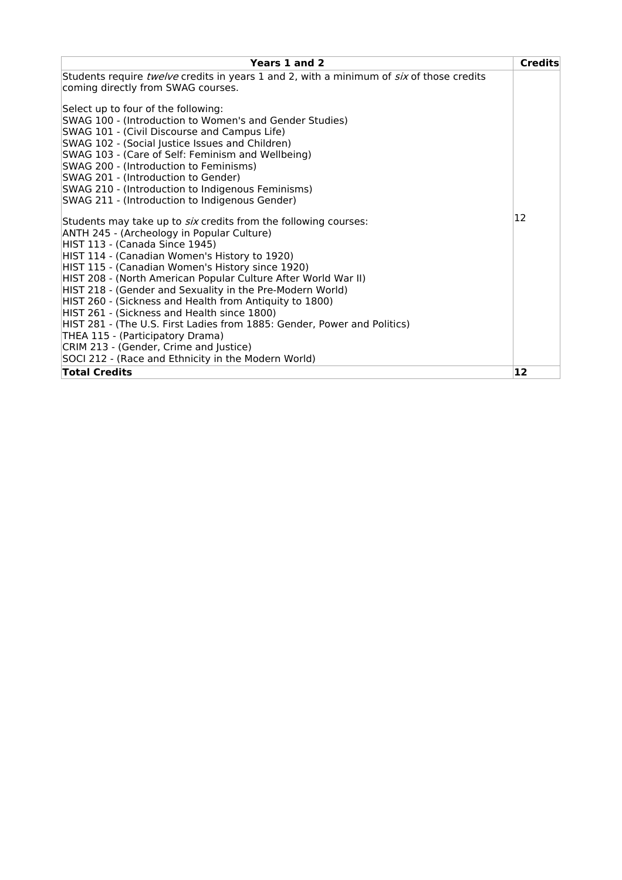| Years 1 and 2                                                                                          | <b>Credits</b> |
|--------------------------------------------------------------------------------------------------------|----------------|
| Students require twelve credits in years 1 and 2, with a minimum of six of those credits               |                |
| coming directly from SWAG courses.                                                                     |                |
| Select up to four of the following:                                                                    |                |
| SWAG 100 - (Introduction to Women's and Gender Studies)                                                |                |
| SWAG 101 - (Civil Discourse and Campus Life)                                                           |                |
| SWAG 102 - (Social Justice Issues and Children)                                                        |                |
| SWAG 103 - (Care of Self: Feminism and Wellbeing)                                                      |                |
| SWAG 200 - (Introduction to Feminisms)                                                                 |                |
| SWAG 201 - (Introduction to Gender)                                                                    |                |
| SWAG 210 - (Introduction to Indigenous Feminisms)                                                      |                |
| SWAG 211 - (Introduction to Indigenous Gender)                                                         |                |
| Students may take up to six credits from the following courses:                                        | 12             |
| ANTH 245 - (Archeology in Popular Culture)                                                             |                |
| HIST 113 - (Canada Since 1945)                                                                         |                |
| HIST 114 - (Canadian Women's History to 1920)                                                          |                |
| HIST 115 - (Canadian Women's History since 1920)                                                       |                |
| HIST 208 - (North American Popular Culture After World War II)                                         |                |
| HIST 218 - (Gender and Sexuality in the Pre-Modern World)                                              |                |
| HIST 260 - (Sickness and Health from Antiquity to 1800)<br>HIST 261 - (Sickness and Health since 1800) |                |
| HIST 281 - (The U.S. First Ladies from 1885: Gender, Power and Politics)                               |                |
| THEA 115 - (Participatory Drama)                                                                       |                |
| CRIM 213 - (Gender, Crime and Justice)                                                                 |                |
| SOCI 212 - (Race and Ethnicity in the Modern World)                                                    |                |
| <b>Total Credits</b>                                                                                   | 12             |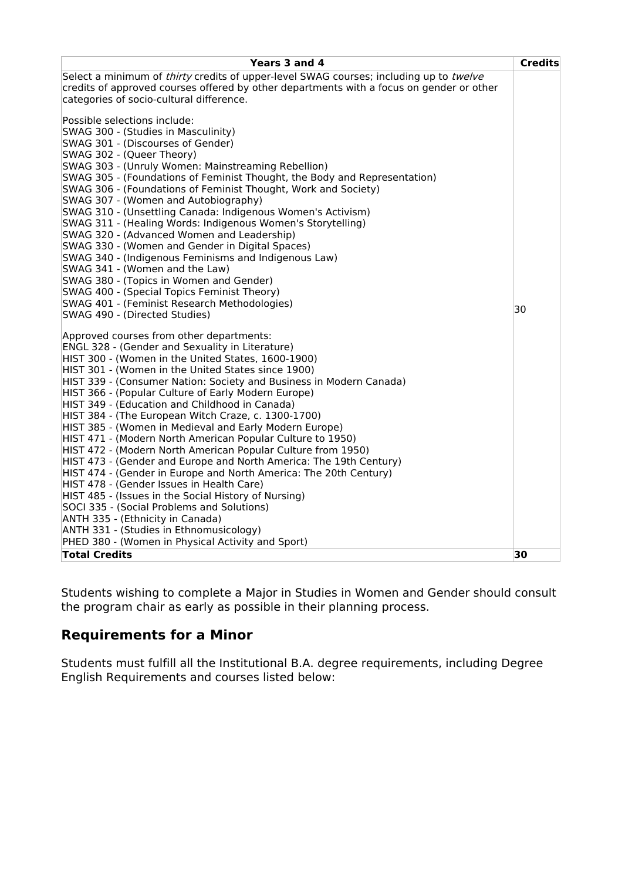| Years 3 and 4                                                                                                 | <b>Credits</b> |
|---------------------------------------------------------------------------------------------------------------|----------------|
| Select a minimum of thirty credits of upper-level SWAG courses; including up to twelve                        |                |
| credits of approved courses offered by other departments with a focus on gender or other                      |                |
| categories of socio-cultural difference.                                                                      |                |
| Possible selections include:                                                                                  |                |
| SWAG 300 - (Studies in Masculinity)                                                                           |                |
| SWAG 301 - (Discourses of Gender)                                                                             |                |
| SWAG 302 - (Queer Theory)                                                                                     |                |
| SWAG 303 - (Unruly Women: Mainstreaming Rebellion)                                                            |                |
| SWAG 305 - (Foundations of Feminist Thought, the Body and Representation)                                     |                |
| SWAG 306 - (Foundations of Feminist Thought, Work and Society)                                                |                |
| SWAG 307 - (Women and Autobiography)<br>SWAG 310 - (Unsettling Canada: Indigenous Women's Activism)           |                |
| SWAG 311 - (Healing Words: Indigenous Women's Storytelling)                                                   |                |
| SWAG 320 - (Advanced Women and Leadership)                                                                    |                |
| SWAG 330 - (Women and Gender in Digital Spaces)                                                               |                |
| SWAG 340 - (Indigenous Feminisms and Indigenous Law)                                                          |                |
| SWAG 341 - (Women and the Law)                                                                                |                |
| SWAG 380 - (Topics in Women and Gender)                                                                       |                |
| SWAG 400 - (Special Topics Feminist Theory)                                                                   |                |
| SWAG 401 - (Feminist Research Methodologies)                                                                  | 30             |
| SWAG 490 - (Directed Studies)                                                                                 |                |
| Approved courses from other departments:                                                                      |                |
| ENGL 328 - (Gender and Sexuality in Literature)                                                               |                |
| HIST 300 - (Women in the United States, 1600-1900)                                                            |                |
| HIST 301 - (Women in the United States since 1900)                                                            |                |
| HIST 339 - (Consumer Nation: Society and Business in Modern Canada)                                           |                |
| HIST 366 - (Popular Culture of Early Modern Europe)                                                           |                |
| HIST 349 - (Education and Childhood in Canada)                                                                |                |
| HIST 384 - (The European Witch Craze, c. 1300-1700)<br>HIST 385 - (Women in Medieval and Early Modern Europe) |                |
| HIST 471 - (Modern North American Popular Culture to 1950)                                                    |                |
| HIST 472 - (Modern North American Popular Culture from 1950)                                                  |                |
| HIST 473 - (Gender and Europe and North America: The 19th Century)                                            |                |
| HIST 474 - (Gender in Europe and North America: The 20th Century)                                             |                |
| HIST 478 - (Gender Issues in Health Care)                                                                     |                |
| HIST 485 - (Issues in the Social History of Nursing)                                                          |                |
| SOCI 335 - (Social Problems and Solutions)                                                                    |                |
| ANTH 335 - (Ethnicity in Canada)                                                                              |                |
| ANTH 331 - (Studies in Ethnomusicology)<br>PHED 380 - (Women in Physical Activity and Sport)                  |                |
| <b>Total Credits</b>                                                                                          | 30             |
|                                                                                                               |                |

Students wishing to complete a Major in Studies in Women and Gender should consult the program chair as early as possible in their planning process.

#### **Requirements for a Minor**

Students must fulfill all the Institutional B.A. degree requirements, including Degree English Requirements and courses listed below: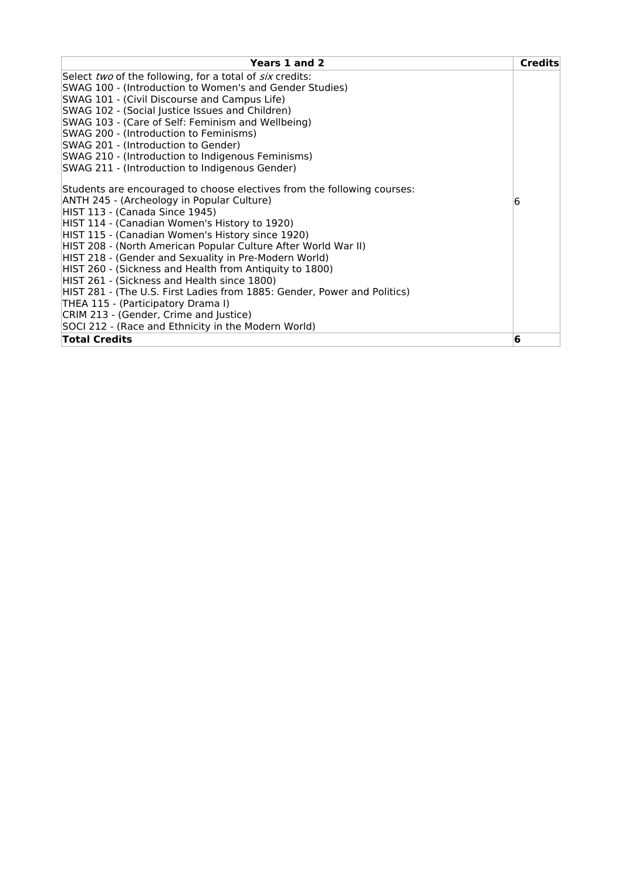| Years 1 and 2                                                            | <b>Credits</b> |
|--------------------------------------------------------------------------|----------------|
| Select two of the following, for a total of six credits:                 |                |
| SWAG 100 - (Introduction to Women's and Gender Studies)                  |                |
| SWAG 101 - (Civil Discourse and Campus Life)                             |                |
| SWAG 102 - (Social Justice Issues and Children)                          |                |
| SWAG 103 - (Care of Self: Feminism and Wellbeing)                        |                |
| SWAG 200 - (Introduction to Feminisms)                                   |                |
| SWAG 201 - (Introduction to Gender)                                      |                |
| SWAG 210 - (Introduction to Indigenous Feminisms)                        |                |
| SWAG 211 - (Introduction to Indigenous Gender)                           |                |
| Students are encouraged to choose electives from the following courses:  |                |
| ANTH 245 - (Archeology in Popular Culture)                               | 16             |
| HIST 113 - (Canada Since 1945)                                           |                |
| HIST 114 - (Canadian Women's History to 1920)                            |                |
| HIST 115 - (Canadian Women's History since 1920)                         |                |
| HIST 208 - (North American Popular Culture After World War II)           |                |
| HIST 218 - (Gender and Sexuality in Pre-Modern World)                    |                |
| HIST 260 - (Sickness and Health from Antiquity to 1800)                  |                |
| HIST 261 - (Sickness and Health since 1800)                              |                |
| HIST 281 - (The U.S. First Ladies from 1885: Gender, Power and Politics) |                |
| THEA 115 - (Participatory Drama I)                                       |                |
| CRIM 213 - (Gender, Crime and Justice)                                   |                |
| SOCI 212 - (Race and Ethnicity in the Modern World)                      |                |
| <b>Total Credits</b>                                                     | 6              |